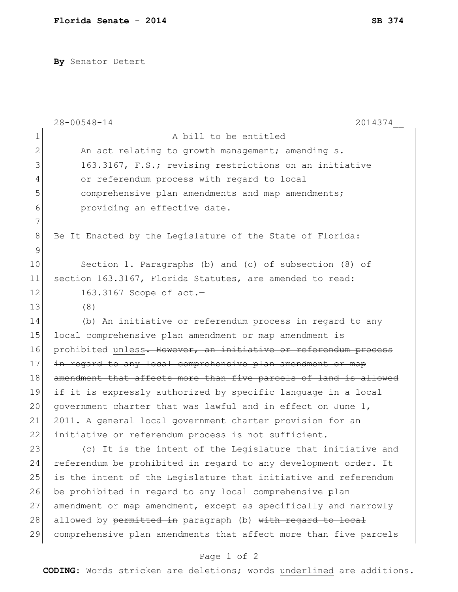**By** Senator Detert

|             | $28 - 00548 - 14$<br>2014374                                     |
|-------------|------------------------------------------------------------------|
| $\mathbf 1$ | A bill to be entitled                                            |
| 2           | An act relating to growth management; amending s.                |
| 3           | 163.3167, F.S.; revising restrictions on an initiative           |
| 4           | or referendum process with regard to local                       |
| 5           | comprehensive plan amendments and map amendments;                |
| 6           | providing an effective date.                                     |
| 7           |                                                                  |
| 8           | Be It Enacted by the Legislature of the State of Florida:        |
| 9           |                                                                  |
| 10          | Section 1. Paragraphs (b) and (c) of subsection (8) of           |
| 11          | section 163.3167, Florida Statutes, are amended to read:         |
| 12          | 163.3167 Scope of act.-                                          |
| 13          | (8)                                                              |
| 14          | (b) An initiative or referendum process in regard to any         |
| 15          | local comprehensive plan amendment or map amendment is           |
| 16          | prohibited unless. However, an initiative or referendum process  |
| 17          | in regard to any local comprehensive plan amendment or map       |
| 18          | amendment that affects more than five parcels of land is allowed |
| 19          | if it is expressly authorized by specific language in a local    |
| 20          | government charter that was lawful and in effect on June 1,      |
| 21          | 2011. A general local government charter provision for an        |
| 22          | initiative or referendum process is not sufficient.              |
| 23          | (c) It is the intent of the Legislature that initiative and      |
| 24          | referendum be prohibited in regard to any development order. It  |
| 25          | is the intent of the Legislature that initiative and referendum  |
| 26          | be prohibited in regard to any local comprehensive plan          |
| 27          | amendment or map amendment, except as specifically and narrowly  |
| 28          | allowed by permitted in paragraph (b) with regard to local       |
| 29          | comprehensive plan amendments that affect more than five parcels |
|             |                                                                  |

## Page 1 of 2

**CODING**: Words stricken are deletions; words underlined are additions.